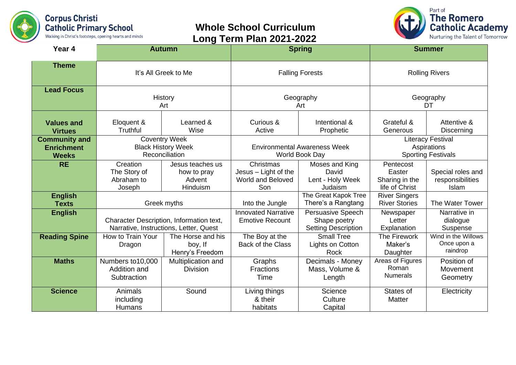

## **Whole School Curriculum Long Term Plan 2021-2022**



| Year 4                                                    | <b>Autumn</b>                                                                      |                                                       | <b>Spring</b>                                                 |                                                                 | <b>Summer</b>                                                        |                                                |
|-----------------------------------------------------------|------------------------------------------------------------------------------------|-------------------------------------------------------|---------------------------------------------------------------|-----------------------------------------------------------------|----------------------------------------------------------------------|------------------------------------------------|
| <b>Theme</b>                                              | It's All Greek to Me                                                               |                                                       | <b>Falling Forests</b>                                        |                                                                 | <b>Rolling Rivers</b>                                                |                                                |
| <b>Lead Focus</b>                                         | History<br>Art                                                                     |                                                       | Geography<br>Art                                              |                                                                 | Geography<br>DT                                                      |                                                |
| <b>Values and</b><br><b>Virtues</b>                       | Eloquent &<br>Truthful                                                             | Learned &<br>Wise                                     | Curious &<br>Active                                           | Intentional &<br>Prophetic                                      | Grateful &<br>Generous                                               | Attentive &<br>Discerning                      |
| <b>Community and</b><br><b>Enrichment</b><br><b>Weeks</b> | <b>Coventry Week</b><br><b>Black History Week</b><br>Reconciliation                |                                                       | <b>Environmental Awareness Week</b><br>World Book Day         |                                                                 | <b>Literacy Festival</b><br>Aspirations<br><b>Sporting Festivals</b> |                                                |
| <b>RE</b>                                                 | Creation<br>The Story of<br>Abraham to<br>Joseph                                   | Jesus teaches us<br>how to pray<br>Advent<br>Hinduism | Christmas<br>Jesus - Light of the<br>World and Beloved<br>Son | Moses and King<br>David<br>Lent - Holy Week<br>Judaism          | Pentecost<br>Easter<br>Sharing in the<br>life of Christ              | Special roles and<br>responsibilities<br>Islam |
| <b>English</b><br><b>Texts</b>                            | Greek myths                                                                        |                                                       | Into the Jungle                                               | The Great Kapok Tree<br>There's a Rangtang                      | <b>River Singers</b><br><b>River Stories</b>                         | The Water Tower                                |
| <b>English</b>                                            | Character Description, Information text,<br>Narrative, Instructions, Letter, Quest |                                                       | <b>Innovated Narrative</b><br><b>Emotive Recount</b>          | Persuasive Speech<br>Shape poetry<br><b>Setting Description</b> | Newspaper<br>Letter<br>Explanation                                   | Narrative in<br>dialogue<br>Suspense           |
| <b>Reading Spine</b>                                      | How to Train Your<br>Dragon                                                        | The Horse and his<br>boy, If<br>Henry's Freedom       | The Boy at the<br><b>Back of the Class</b>                    | <b>Small Tree</b><br>Lights on Cotton<br>Rock                   | The Firework<br>Maker's<br>Daughter                                  | Wind in the Willows<br>Once upon a<br>raindrop |
| <b>Maths</b>                                              | Numbers to 10,000<br>Addition and<br>Subtraction                                   | Multiplication and<br><b>Division</b>                 | Graphs<br><b>Fractions</b><br>Time                            | Decimals - Money<br>Mass, Volume &<br>Length                    | Areas of Figures<br>Roman<br><b>Numerals</b>                         | Position of<br>Movement<br>Geometry            |
| <b>Science</b>                                            | Animals<br>including<br><b>Humans</b>                                              | Sound                                                 | Living things<br>& their<br>habitats                          | Science<br>Culture<br>Capital                                   | States of<br><b>Matter</b>                                           | Electricity                                    |